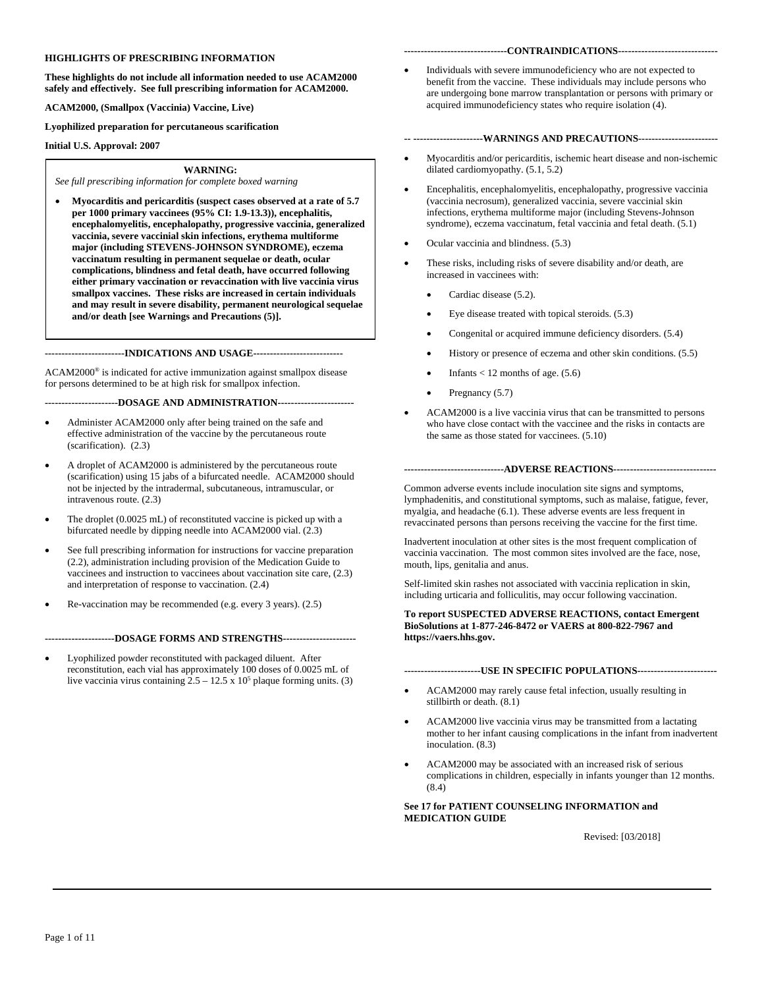### **HIGHLIGHTS OF PRESCRIBING INFORMATION**

**These highlights do not include all information needed to use ACAM2000 safely and effectively. See full prescribing information for ACAM2000.** 

**ACAM2000, (Smallpox (Vaccinia) Vaccine, Live)** 

**Lyophilized preparation for percutaneous scarification**

**Initial U.S. Approval: 2007**

#### **WARNING:**

*See full prescribing information for complete boxed warning* 

• **Myocarditis and pericarditis (suspect cases observed at a rate of 5.7 per 1000 primary vaccinees (95% CI: 1.9-13.3)), encephalitis, encephalomyelitis, encephalopathy, progressive vaccinia, generalized vaccinia, severe vaccinial skin infections, erythema multiforme major (including STEVENS-JOHNSON SYNDROME), eczema vaccinatum resulting in permanent sequelae or death, ocular complications, blindness and fetal death, have occurred following either primary vaccination or revaccination with live vaccinia virus smallpox vaccines. These risks are increased in certain individuals and may result in severe disability, permanent neurological sequelae and/or death [see Warnings and Precautions (5)].**

**------------------------INDICATIONS AND USAGE---------------------------**

ACAM2000® is indicated for active immunization against smallpox disease for persons determined to be at high risk for smallpox infection.

**----------------------DOSAGE AND ADMINISTRATION-----------------------**

- Administer ACAM2000 only after being trained on the safe and effective administration of the vaccine by the percutaneous route (scarification). (2.3)
- A droplet of ACAM2000 is administered by the percutaneous route (scarification) using 15 jabs of a bifurcated needle. ACAM2000 should not be injected by the intradermal, subcutaneous, intramuscular, or intravenous route. (2.3)
- The droplet (0.0025 mL) of reconstituted vaccine is picked up with a bifurcated needle by dipping needle into ACAM2000 vial. (2.3)
- See full prescribing information for instructions for vaccine preparation (2.2), administration including provision of the Medication Guide to vaccinees and instruction to vaccinees about vaccination site care, (2.3) and interpretation of response to vaccination. (2.4)
- Re-vaccination may be recommended (e.g. every 3 years). (2.5)

**---------------------DOSAGE FORMS AND STRENGTHS----------------------**

Lyophilized powder reconstituted with packaged diluent. After reconstitution, each vial has approximately 100 doses of 0.0025 mL of live vaccinia virus containing  $2.5 - 12.5 \times 10^5$  plaque forming units. (3)

#### **-------------------------------CONTRAINDICATIONS------------------------------**

• Individuals with severe immunodeficiency who are not expected to benefit from the vaccine. These individuals may include persons who are undergoing bone marrow transplantation or persons with primary or acquired immunodeficiency states who require isolation (4).

#### **-- ---------------------WARNINGS AND PRECAUTIONS------------------------**

- Myocarditis and/or pericarditis, ischemic heart disease and non-ischemic dilated cardiomyopathy. (5.1, 5.2)
- Encephalitis, encephalomyelitis, encephalopathy, progressive vaccinia (vaccinia necrosum), generalized vaccinia, severe vaccinial skin infections, erythema multiforme major (including Stevens-Johnson syndrome), eczema vaccinatum, fetal vaccinia and fetal death. (5.1)
- Ocular vaccinia and blindness. (5.3)
- These risks, including risks of severe disability and/or death, are increased in vaccinees with:
	- Cardiac disease (5.2).
	- Eye disease treated with topical steroids. (5.3)
	- Congenital or acquired immune deficiency disorders. (5.4)
	- History or presence of eczema and other skin conditions. (5.5)
	- Infants  $<$  12 months of age. (5.6)
	- Pregnancy (5.7)
- ACAM2000 is a live vaccinia virus that can be transmitted to persons who have close contact with the vaccinee and the risks in contacts are the same as those stated for vaccinees. (5.10)

### **------------------------------ADVERSE REACTIONS-------------------------------**

Common adverse events include inoculation site signs and symptoms, lymphadenitis, and constitutional symptoms, such as malaise, fatigue, fever, myalgia, and headache (6.1). These adverse events are less frequent in revaccinated persons than persons receiving the vaccine for the first time.

Inadvertent inoculation at other sites is the most frequent complication of vaccinia vaccination. The most common sites involved are the face, nose, mouth, lips, genitalia and anus.

Self-limited skin rashes not associated with vaccinia replication in skin, including urticaria and folliculitis, may occur following vaccination.

**To report SUSPECTED ADVERSE REACTIONS, contact Emergent BioSolutions at 1-877-246-8472 or VAERS at 800-822-7967 and https://vaers.hhs.gov.** 

### **-----------------------USE IN SPECIFIC POPULATIONS------------------------**

- ACAM2000 may rarely cause fetal infection, usually resulting in stillbirth or death. (8.1)
- ACAM2000 live vaccinia virus may be transmitted from a lactating mother to her infant causing complications in the infant from inadvertent inoculation. (8.3)
- ACAM2000 may be associated with an increased risk of serious complications in children, especially in infants younger than 12 months.  $(8.4)$

### **See 17 for PATIENT COUNSELING INFORMATION and MEDICATION GUIDE**

Revised: [03/2018]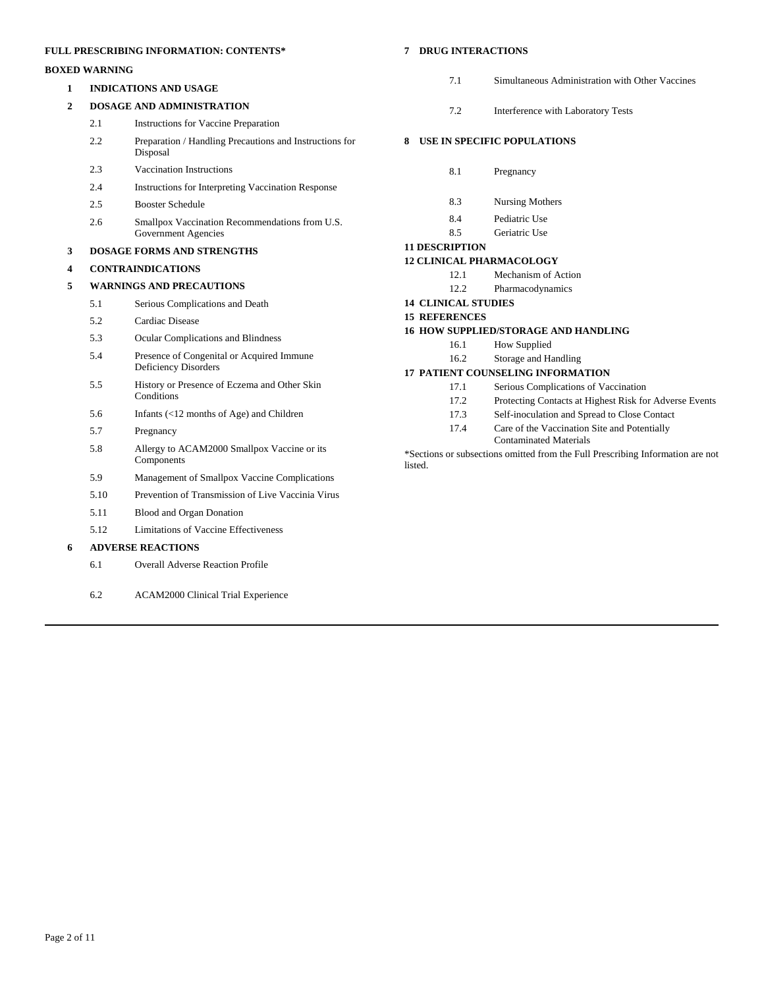# **FULL PRESCRIBING INFORMATION: CONTENTS\***

# **BOXED WARNING**

**1 INDICATIONS AND USAGE**

### **2 DOSAGE AND ADMINISTRATION**

- 2.1 Instructions for Vaccine Preparation
- 2.2 Preparation / Handling Precautions and Instructions for Disposal
- 2.3 Vaccination Instructions
- 2.4 Instructions for Interpreting Vaccination Response
- 2.5 Booster Schedule
- 2.6 Smallpox Vaccination Recommendations from U.S. Government Agencies

### **3 DOSAGE FORMS AND STRENGTHS**

### **4 CONTRAINDICATIONS**

### **5 WARNINGS AND PRECAUTIONS**

- 5.1 Serious Complications and Death
- 5.2 Cardiac Disease
- 5.3 Ocular Complications and Blindness
- 5.4 Presence of Congenital or Acquired Immune Deficiency Disorders
- 5.5 History or Presence of Eczema and Other Skin **Conditions**
- 5.6 Infants (<12 months of Age) and Children
- 5.7 Pregnancy
- 5.8 Allergy to ACAM2000 Smallpox Vaccine or its Components
- 5.9 Management of Smallpox Vaccine Complications
- 5.10 Prevention of Transmission of Live Vaccinia Virus
- 5.11 Blood and Organ Donation
- 5.12 Limitations of Vaccine Effectiveness

# **6 ADVERSE REACTIONS**

- 6.1 Overall Adverse Reaction Profile
- 6.2 ACAM2000 Clinical Trial Experience

# **7 DRUG INTERACTIONS**

- 7.1 Simultaneous Administration with Other Vaccines
- 7.2 Interference with Laboratory Tests

# **8 USE IN SPECIFIC POPULATIONS**

- 8.1 Pregnancy
- 8.3 Nursing Mothers
- 8.4 Pediatric Use
- 8.5 Geriatric Use

# **11 DESCRIPTION**

# **12 CLINICAL PHARMACOLOGY**

- 12.1 Mechanism of Action
- 12.2 Pharmacodynamics
- **14 CLINICAL STUDIES**

### **15 REFERENCES**

### **16 HOW SUPPLIED/STORAGE AND HANDLING**

- 16.1 How Supplied
- 16.2 Storage and Handling

### **17 PATIENT COUNSELING INFORMATION**

- 17.1 Serious Complications of Vaccination
- 17.2 Protecting Contacts at Highest Risk for Adverse Events
- 17.3 Self-inoculation and Spread to Close Contact
- 17.4 Care of the Vaccination Site and Potentially
- Contaminated Materials \*Sections or subsections omitted from the Full Prescribing Information are not

listed.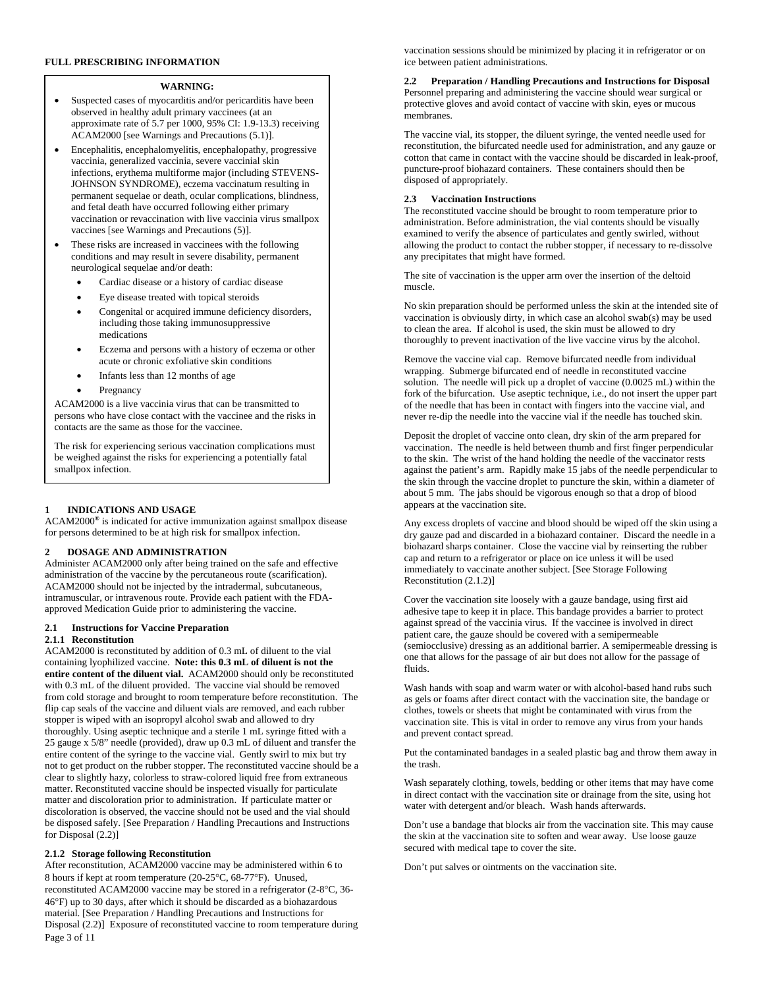### **FULL PRESCRIBING INFORMATION**

### **WARNING:**

- Suspected cases of myocarditis and/or pericarditis have been observed in healthy adult primary vaccinees (at an approximate rate of 5.7 per 1000, 95% CI: 1.9-13.3) receiving ACAM2000 [see Warnings and Precautions (5.1)].
- Encephalitis, encephalomyelitis, encephalopathy, progressive vaccinia, generalized vaccinia, severe vaccinial skin infections, erythema multiforme major (including STEVENS-JOHNSON SYNDROME), eczema vaccinatum resulting in permanent sequelae or death, ocular complications, blindness, and fetal death have occurred following either primary vaccination or revaccination with live vaccinia virus smallpox vaccines [see Warnings and Precautions (5)].
- These risks are increased in vaccinees with the following conditions and may result in severe disability, permanent neurological sequelae and/or death:
	- Cardiac disease or a history of cardiac disease
	- Eye disease treated with topical steroids
	- Congenital or acquired immune deficiency disorders, including those taking immunosuppressive medications
	- Eczema and persons with a history of eczema or other acute or chronic exfoliative skin conditions
	- Infants less than 12 months of age
	- Pregnancy

ACAM2000 is a live vaccinia virus that can be transmitted to persons who have close contact with the vaccinee and the risks in contacts are the same as those for the vaccinee.

The risk for experiencing serious vaccination complications must be weighed against the risks for experiencing a potentially fatal smallpox infection.

#### **1 INDICATIONS AND USAGE**

ACAM2000**®** is indicated for active immunization against smallpox disease for persons determined to be at high risk for smallpox infection.

#### **2 DOSAGE AND ADMINISTRATION**

Administer ACAM2000 only after being trained on the safe and effective administration of the vaccine by the percutaneous route (scarification). ACAM2000 should not be injected by the intradermal, subcutaneous, intramuscular, or intravenous route. Provide each patient with the FDAapproved Medication Guide prior to administering the vaccine.

#### **2.1 Instructions for Vaccine Preparation**

### **2.1.1 Reconstitution**

ACAM2000 is reconstituted by addition of 0.3 mL of diluent to the vial containing lyophilized vaccine. **Note: this 0.3 mL of diluent is not the entire content of the diluent vial.** ACAM2000 should only be reconstituted with 0.3 mL of the diluent provided. The vaccine vial should be removed from cold storage and brought to room temperature before reconstitution. The flip cap seals of the vaccine and diluent vials are removed, and each rubber stopper is wiped with an isopropyl alcohol swab and allowed to dry thoroughly. Using aseptic technique and a sterile 1 mL syringe fitted with a 25 gauge x 5/8" needle (provided), draw up 0.3 mL of diluent and transfer the entire content of the syringe to the vaccine vial. Gently swirl to mix but try not to get product on the rubber stopper. The reconstituted vaccine should be a clear to slightly hazy, colorless to straw-colored liquid free from extraneous matter. Reconstituted vaccine should be inspected visually for particulate matter and discoloration prior to administration. If particulate matter or discoloration is observed, the vaccine should not be used and the vial should be disposed safely. [See Preparation / Handling Precautions and Instructions for Disposal (2.2)]

### **2.1.2 Storage following Reconstitution**

Page 3 of 11 After reconstitution, ACAM2000 vaccine may be administered within 6 to 8 hours if kept at room temperature (20-25°C, 68-77°F). Unused, reconstituted ACAM2000 vaccine may be stored in a refrigerator (2-8°C, 36- 46°F) up to 30 days, after which it should be discarded as a biohazardous material. [See Preparation / Handling Precautions and Instructions for Disposal (2.2)] Exposure of reconstituted vaccine to room temperature during

vaccination sessions should be minimized by placing it in refrigerator or on ice between patient administrations.

**2.2 Preparation / Handling Precautions and Instructions for Disposal** Personnel preparing and administering the vaccine should wear surgical or protective gloves and avoid contact of vaccine with skin, eyes or mucous membranes.

The vaccine vial, its stopper, the diluent syringe, the vented needle used for reconstitution, the bifurcated needle used for administration, and any gauze or cotton that came in contact with the vaccine should be discarded in leak-proof, puncture-proof biohazard containers. These containers should then be disposed of appropriately.

#### **2.3 Vaccination Instructions**

The reconstituted vaccine should be brought to room temperature prior to administration. Before administration, the vial contents should be visually examined to verify the absence of particulates and gently swirled, without allowing the product to contact the rubber stopper, if necessary to re-dissolve any precipitates that might have formed.

The site of vaccination is the upper arm over the insertion of the deltoid muscle.

No skin preparation should be performed unless the skin at the intended site of vaccination is obviously dirty, in which case an alcohol swab(s) may be used to clean the area. If alcohol is used, the skin must be allowed to dry thoroughly to prevent inactivation of the live vaccine virus by the alcohol.

Remove the vaccine vial cap. Remove bifurcated needle from individual wrapping. Submerge bifurcated end of needle in reconstituted vaccine solution. The needle will pick up a droplet of vaccine (0.0025 mL) within the fork of the bifurcation. Use aseptic technique, i.e., do not insert the upper part of the needle that has been in contact with fingers into the vaccine vial, and never re-dip the needle into the vaccine vial if the needle has touched skin.

Deposit the droplet of vaccine onto clean, dry skin of the arm prepared for vaccination. The needle is held between thumb and first finger perpendicular to the skin. The wrist of the hand holding the needle of the vaccinator rests against the patient's arm. Rapidly make 15 jabs of the needle perpendicular to the skin through the vaccine droplet to puncture the skin, within a diameter of about 5 mm. The jabs should be vigorous enough so that a drop of blood appears at the vaccination site.

Any excess droplets of vaccine and blood should be wiped off the skin using a dry gauze pad and discarded in a biohazard container. Discard the needle in a biohazard sharps container. Close the vaccine vial by reinserting the rubber cap and return to a refrigerator or place on ice unless it will be used immediately to vaccinate another subject. [See Storage Following Reconstitution (2.1.2)]

Cover the vaccination site loosely with a gauze bandage, using first aid adhesive tape to keep it in place. This bandage provides a barrier to protect against spread of the vaccinia virus. If the vaccinee is involved in direct patient care, the gauze should be covered with a semipermeable (semiocclusive) dressing as an additional barrier. A semipermeable dressing is one that allows for the passage of air but does not allow for the passage of fluids.

Wash hands with soap and warm water or with alcohol-based hand rubs such as gels or foams after direct contact with the vaccination site, the bandage or clothes, towels or sheets that might be contaminated with virus from the vaccination site. This is vital in order to remove any virus from your hands and prevent contact spread.

Put the contaminated bandages in a sealed plastic bag and throw them away in the trash.

Wash separately clothing, towels, bedding or other items that may have come in direct contact with the vaccination site or drainage from the site, using hot water with detergent and/or bleach. Wash hands afterwards.

Don't use a bandage that blocks air from the vaccination site. This may cause the skin at the vaccination site to soften and wear away. Use loose gauze secured with medical tape to cover the site.

Don't put salves or ointments on the vaccination site.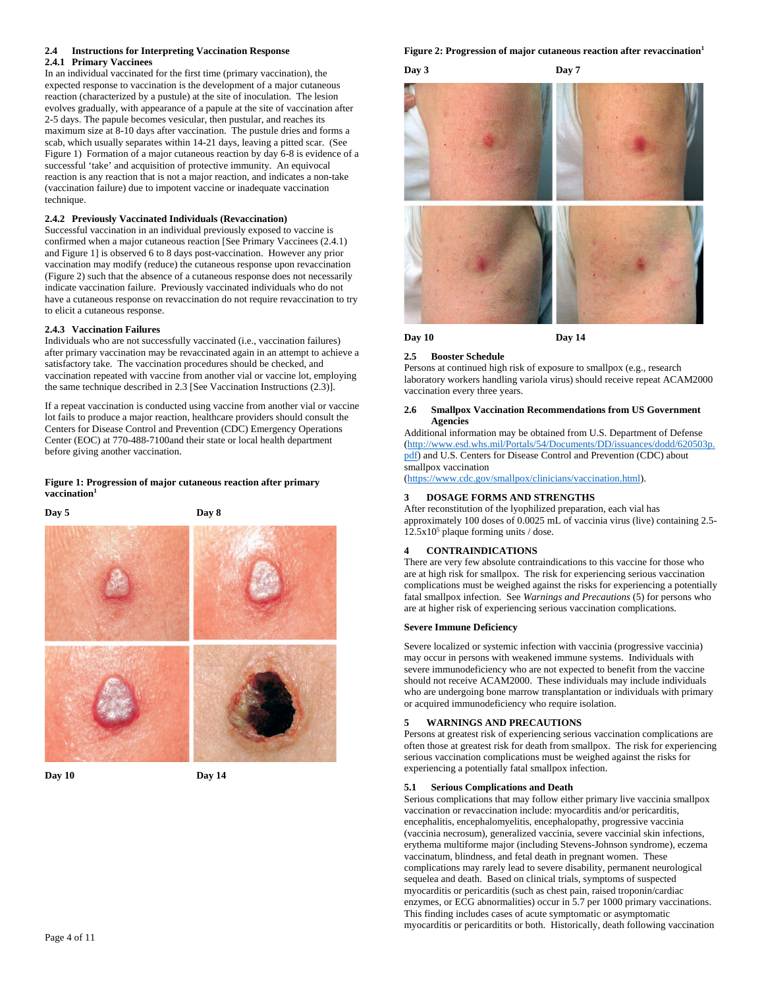### **2.4 Instructions for Interpreting Vaccination Response 2.4.1 Primary Vaccinees**

In an individual vaccinated for the first time (primary vaccination), the expected response to vaccination is the development of a major cutaneous reaction (characterized by a pustule) at the site of inoculation. The lesion evolves gradually, with appearance of a papule at the site of vaccination after 2-5 days. The papule becomes vesicular, then pustular, and reaches its maximum size at 8-10 days after vaccination. The pustule dries and forms a scab, which usually separates within 14-21 days, leaving a pitted scar. (See Figure 1) Formation of a major cutaneous reaction by day 6-8 is evidence of a successful 'take' and acquisition of protective immunity. An equivocal reaction is any reaction that is not a major reaction, and indicates a non-take (vaccination failure) due to impotent vaccine or inadequate vaccination technique.

### **2.4.2 Previously Vaccinated Individuals (Revaccination)**

Successful vaccination in an individual previously exposed to vaccine is confirmed when a major cutaneous reaction [See Primary Vaccinees (2.4.1) and Figure 1] is observed 6 to 8 days post-vaccination. However any prior vaccination may modify (reduce) the cutaneous response upon revaccination (Figure 2) such that the absence of a cutaneous response does not necessarily indicate vaccination failure. Previously vaccinated individuals who do not have a cutaneous response on revaccination do not require revaccination to try to elicit a cutaneous response.

### **2.4.3 Vaccination Failures**

Individuals who are not successfully vaccinated (i.e., vaccination failures) after primary vaccination may be revaccinated again in an attempt to achieve a satisfactory take. The vaccination procedures should be checked, and vaccination repeated with vaccine from another vial or vaccine lot, employing the same technique described in 2.3 [See Vaccination Instructions (2.3)].

If a repeat vaccination is conducted using vaccine from another vial or vaccine lot fails to produce a major reaction, healthcare providers should consult the Centers for Disease Control and Prevention (CDC) Emergency Operations Center (EOC) at 770-488-7100and their state or local health department before giving another vaccination.

### **Figure 1: Progression of major cutaneous reaction after primary**  vaccination<sup>1</sup>

**Day 5 Day 8**







# **Figure 2: Progression of major cutaneous reaction after revaccination1**

# **Day 3 Day 7**



# **Day 10 Day 14**

**2.5 Booster Schedule** Persons at continued high risk of exposure to smallpox (e.g., research laboratory workers handling variola virus) should receive repeat ACAM2000 vaccination every three years.

### **2.6 Smallpox Vaccination Recommendations from US Government Agencies**

Additional information may be obtained from U.S. Department of Defense [\(http://www.esd.whs.mil/Portals/54/Documents/DD/issuances/dodd/620503p.](http://www.esd.whs.mil/Portals/54/Documents/DD/issuances/dodd/620503p.pdf) [pdf\)](http://www.esd.whs.mil/Portals/54/Documents/DD/issuances/dodd/620503p.pdf) and U.S. Centers for Disease Control and Prevention (CDC) about smallpox vaccination

[\(https://www.cdc.gov/smallpox/clinicians/vaccination.html\)](https://www.cdc.gov/smallpox/clinicians/vaccination.html).

### **3 DOSAGE FORMS AND STRENGTHS**

After reconstitution of the lyophilized preparation, each vial has approximately 100 doses of 0.0025 mL of vaccinia virus (live) containing 2.5-  $12.5x10<sup>5</sup>$  plaque forming units / dose.

# **4 CONTRAINDICATIONS**

There are very few absolute contraindications to this vaccine for those who are at high risk for smallpox. The risk for experiencing serious vaccination complications must be weighed against the risks for experiencing a potentially fatal smallpox infection. See *Warnings and Precautions* (5) for persons who are at higher risk of experiencing serious vaccination complications.

### **Severe Immune Deficiency**

Severe localized or systemic infection with vaccinia (progressive vaccinia) may occur in persons with weakened immune systems. Individuals with severe immunodeficiency who are not expected to benefit from the vaccine should not receive ACAM2000. These individuals may include individuals who are undergoing bone marrow transplantation or individuals with primary or acquired immunodeficiency who require isolation.

### **5 WARNINGS AND PRECAUTIONS**

Persons at greatest risk of experiencing serious vaccination complications are often those at greatest risk for death from smallpox. The risk for experiencing serious vaccination complications must be weighed against the risks for experiencing a potentially fatal smallpox infection.

### **5.1 Serious Complications and Death**

Serious complications that may follow either primary live vaccinia smallpox vaccination or revaccination include: myocarditis and/or pericarditis, encephalitis, encephalomyelitis, encephalopathy, progressive vaccinia (vaccinia necrosum), generalized vaccinia, severe vaccinial skin infections, erythema multiforme major (including Stevens-Johnson syndrome), eczema vaccinatum, blindness, and fetal death in pregnant women. These complications may rarely lead to severe disability, permanent neurological sequelea and death. Based on clinical trials, symptoms of suspected myocarditis or pericarditis (such as chest pain, raised troponin/cardiac enzymes, or ECG abnormalities) occur in 5.7 per 1000 primary vaccinations. This finding includes cases of acute symptomatic or asymptomatic myocarditis or pericarditits or both. Historically, death following vaccination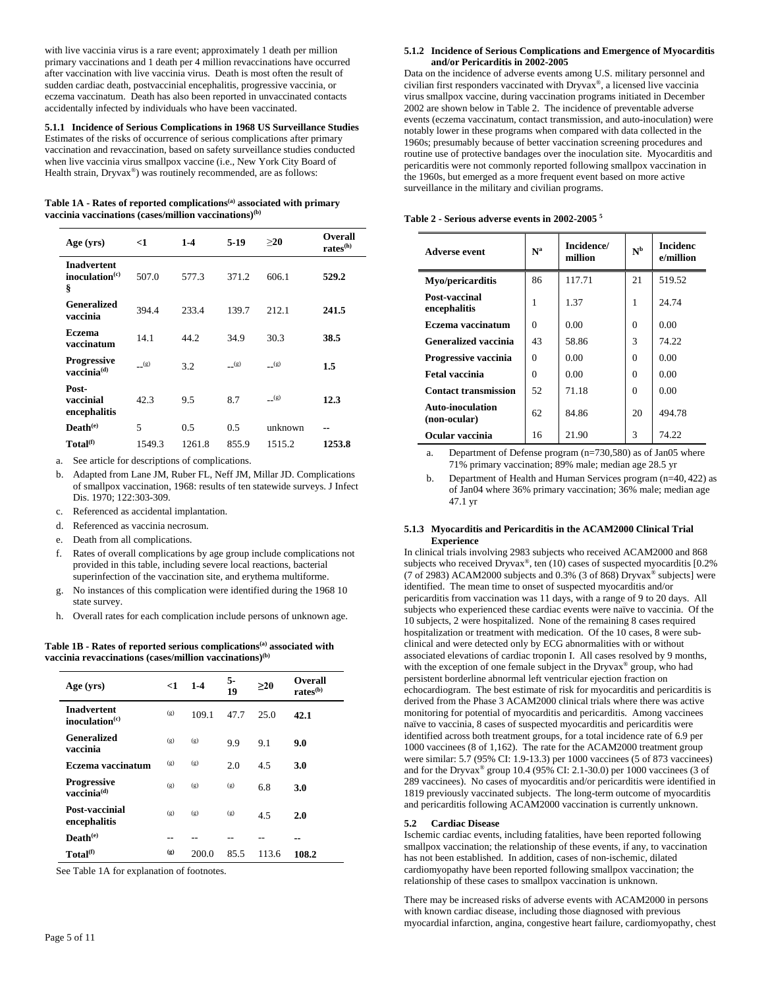with live vaccinia virus is a rare event; approximately 1 death per million primary vaccinations and 1 death per 4 million revaccinations have occurred after vaccination with live vaccinia virus. Death is most often the result of sudden cardiac death, postvaccinial encephalitis, progressive vaccinia, or eczema vaccinatum. Death has also been reported in unvaccinated contacts accidentally infected by individuals who have been vaccinated.

**5.1.1 Incidence of Serious Complications in 1968 US Surveillance Studies** Estimates of the risks of occurrence of serious complications after primary vaccination and revaccination, based on safety surveillance studies conducted when live vaccinia virus smallpox vaccine (i.e., New York City Board of Health strain, Dryvax®) was routinely recommended, are as follows:

| Table 1A - Rates of reported complications <sup>(a)</sup> associated with primary |
|-----------------------------------------------------------------------------------|
| vaccinia vaccinations (cases/million vaccinations) $(b)$                          |

| Age (yrs)                                                | <1        | $1-4$  | $5-19$    | >20       | <b>Overall</b><br>rates <sup>(h)</sup> |
|----------------------------------------------------------|-----------|--------|-----------|-----------|----------------------------------------|
| <b>Inadvertent</b><br>inoculation <sup>(c)</sup><br>ş    | 507.0     | 577.3  | 371.2     | 606.1     | 529.2                                  |
| <b>Generalized</b><br>vaccinia                           | 394.4     | 233.4  | 139.7     | 212.1     | 241.5                                  |
| <b>Eczema</b><br>vaccinatum                              | 14.1      | 44.2   | 34.9      | 30.3      | 38.5                                   |
| <b>Progressive</b><br>$\mathbf{vaccinia}^{(\mathbf{d})}$ | $_{-}(g)$ | 3.2    | $_{-}(g)$ | $_{-}(g)$ | 1.5                                    |
| Post-<br>vaccinial<br>encephalitis                       | 42.3      | 9.5    | 8.7       | $_{-}(g)$ | 12.3                                   |
| $\mathbf{Death}^{(e)}$                                   | 5         | 0.5    | 0.5       | unknown   |                                        |
| Total <sup>(f)</sup>                                     | 1549.3    | 1261.8 | 855.9     | 1515.2    | 1253.8                                 |

a. See article for descriptions of complications.

- b. Adapted from Lane JM, Ruber FL, Neff JM, Millar JD. Complications of smallpox vaccination, 1968: results of ten statewide surveys. J Infect Dis. 1970; 122:303-309.
- c. Referenced as accidental implantation.
- d. Referenced as vaccinia necrosum.
- e. Death from all complications.
- f. Rates of overall complications by age group include complications not provided in this table, including severe local reactions, bacterial superinfection of the vaccination site, and erythema multiforme.
- g. No instances of this complication were identified during the 1968 10 state survey.
- h. Overall rates for each complication include persons of unknown age.

**Table 1B - Rates of reported serious complications(a) associated with vaccinia revaccinations (cases/million vaccinations)(b)**

| Age (yrs)                                                    | <1  | $1-4$ | 5-<br>19 | >20   | Overall<br>rates <sup>(b)</sup> |
|--------------------------------------------------------------|-----|-------|----------|-------|---------------------------------|
| <b>Inadvertent</b><br>inoculation <sup>(c)</sup>             | (g) | 109.1 | 47.7     | 25.0  | 42.1                            |
| <b>Generalized</b><br>vaccinia                               | (g) | (g)   | 9.9      | 9.1   | 9.0                             |
| Eczema vaccinatum                                            | (g) | (g)   | 2.0      | 4.5   | 3.0                             |
| <b>Progressive</b><br>$\mathbf{v}$ accinia $^{(\mathbf{d})}$ | (g) | (g)   | (g)      | 6.8   | 3.0                             |
| Post-vaccinial<br>encephalitis                               | (g) | (g)   | (g)      | 4.5   | 2.0                             |
| $\mathbf{Death}^{(e)}$                                       |     |       |          |       |                                 |
| Total <sup>(f)</sup>                                         | (g) | 200.0 | 85.5     | 113.6 | 108.2                           |

See Table 1A for explanation of footnotes.

Data on the incidence of adverse events among U.S. military personnel and civilian first responders vaccinated with Dryvax®, a licensed live vaccinia virus smallpox vaccine, during vaccination programs initiated in December 2002 are shown below in Table 2. The incidence of preventable adverse events (eczema vaccinatum, contact transmission, and auto-inoculation) were notably lower in these programs when compared with data collected in the 1960s; presumably because of better vaccination screening procedures and routine use of protective bandages over the inoculation site. Myocarditis and pericarditis were not commonly reported following smallpox vaccination in the 1960s, but emerged as a more frequent event based on more active surveillance in the military and civilian programs.

|  |  |  |  |  |  | Table 2 - Serious adverse events in 2002-2005 <sup>5</sup> |  |
|--|--|--|--|--|--|------------------------------------------------------------|--|
|--|--|--|--|--|--|------------------------------------------------------------|--|

| <b>Adverse event</b>             | N <sup>a</sup> | Incidence/<br>million | $\mathbf{N}^{\text{b}}$ | <b>Incidenc</b><br>e/million |
|----------------------------------|----------------|-----------------------|-------------------------|------------------------------|
| Myo/pericarditis                 | 86             | 117.71                | 21                      | 519.52                       |
| Post-vaccinal<br>encephalitis    | 1              | 1.37                  | 1                       | 24.74                        |
| Eczema vaccinatum                | $\Omega$       | 0.00                  | $\Omega$                | 0.00                         |
| <b>Generalized vaccinia</b>      | 43             | 58.86                 | 3                       | 74.22                        |
| Progressive vaccinia             | 0              | 0.00                  | $\Omega$                | 0.00                         |
| <b>Fetal vaccinia</b>            | $\Omega$       | 0.00                  | $\Omega$                | 0.00                         |
| <b>Contact transmission</b>      | 52             | 71.18                 | $\Omega$                | 0.00                         |
| Auto-inoculation<br>(non-ocular) | 62             | 84.86                 | 20                      | 494.78                       |
| Ocular vaccinia                  | 16             | 21.90                 | 3                       | 74.22                        |

a. Department of Defense program (n=730,580) as of Jan05 where 71% primary vaccination; 89% male; median age 28.5 yr

b. Department of Health and Human Services program (n=40, 422) as of Jan04 where 36% primary vaccination; 36% male; median age 47.1 yr

### **5.1.3 Myocarditis and Pericarditis in the ACAM2000 Clinical Trial Experience**

In clinical trials involving 2983 subjects who received ACAM2000 and 868 subjects who received Dryvax®, ten (10) cases of suspected myocarditis [0.2% (7 of 2983) ACAM2000 subjects and  $0.3\%$  (3 of 868) Dryvax<sup>®</sup> subjects] were identified. The mean time to onset of suspected myocarditis and/or pericarditis from vaccination was 11 days, with a range of 9 to 20 days. All subjects who experienced these cardiac events were naïve to vaccinia. Of the 10 subjects, 2 were hospitalized. None of the remaining 8 cases required hospitalization or treatment with medication. Of the 10 cases, 8 were subclinical and were detected only by ECG abnormalities with or without associated elevations of cardiac troponin I. All cases resolved by 9 months, with the exception of one female subject in the Dryvax<sup>®</sup> group, who had persistent borderline abnormal left ventricular ejection fraction on echocardiogram. The best estimate of risk for myocarditis and pericarditis is derived from the Phase 3 ACAM2000 clinical trials where there was active monitoring for potential of myocarditis and pericarditis. Among vaccinees naïve to vaccinia, 8 cases of suspected myocarditis and pericarditis were identified across both treatment groups, for a total incidence rate of 6.9 per 1000 vaccinees (8 of 1,162). The rate for the ACAM2000 treatment group were similar: 5.7 (95% CI: 1.9-13.3) per 1000 vaccinees (5 of 873 vaccinees) and for the Dryvax<sup>®</sup> group 10.4 (95% CI: 2.1-30.0) per 1000 vaccinees (3 of 289 vaccinees). No cases of myocarditis and/or pericarditis were identified in 1819 previously vaccinated subjects. The long-term outcome of myocarditis and pericarditis following ACAM2000 vaccination is currently unknown.

### **5.2 Cardiac Disease**

Ischemic cardiac events, including fatalities, have been reported following smallpox vaccination; the relationship of these events, if any, to vaccination has not been established. In addition, cases of non-ischemic, dilated cardiomyopathy have been reported following smallpox vaccination; the relationship of these cases to smallpox vaccination is unknown.

There may be increased risks of adverse events with ACAM2000 in persons with known cardiac disease, including those diagnosed with previous myocardial infarction, angina, congestive heart failure, cardiomyopathy, chest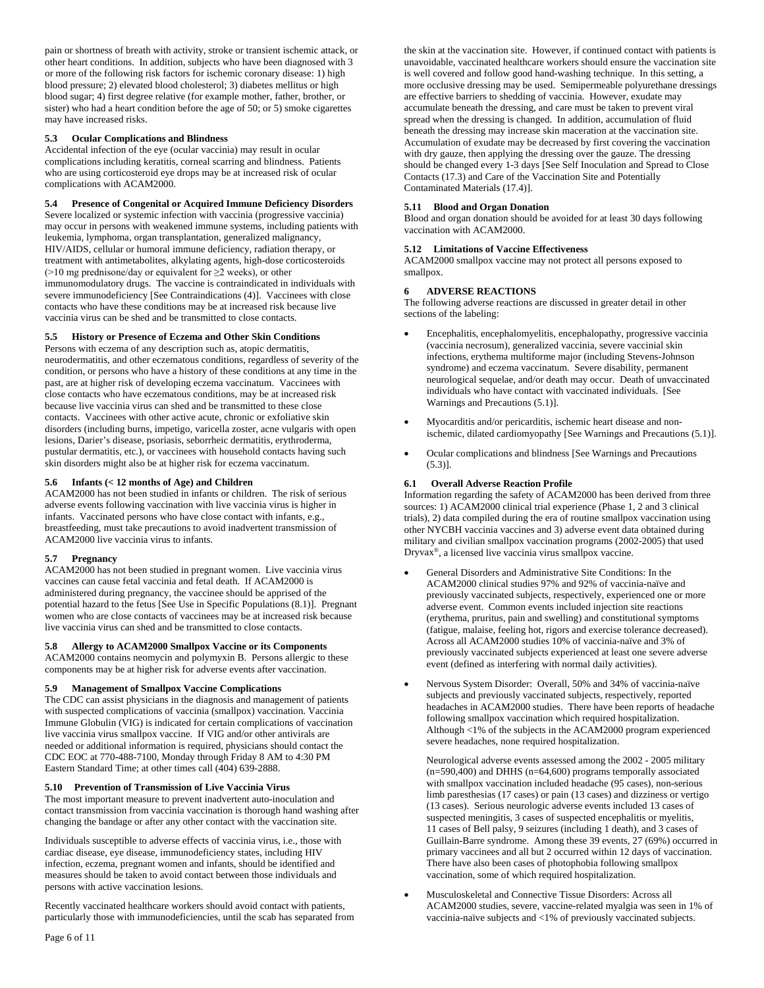pain or shortness of breath with activity, stroke or transient ischemic attack, or other heart conditions. In addition, subjects who have been diagnosed with 3 or more of the following risk factors for ischemic coronary disease: 1) high blood pressure; 2) elevated blood cholesterol; 3) diabetes mellitus or high blood sugar; 4) first degree relative (for example mother, father, brother, or sister) who had a heart condition before the age of 50; or 5) smoke cigarettes may have increased risks.

### **5.3 Ocular Complications and Blindness**

Accidental infection of the eye (ocular vaccinia) may result in ocular complications including keratitis, corneal scarring and blindness. Patients who are using corticosteroid eye drops may be at increased risk of ocular complications with ACAM2000.

# **5.4 Presence of Congenital or Acquired Immune Deficiency Disorders**

Severe localized or systemic infection with vaccinia (progressive vaccinia) may occur in persons with weakened immune systems, including patients with leukemia, lymphoma, organ transplantation, generalized malignancy, HIV/AIDS, cellular or humoral immune deficiency, radiation therapy, or treatment with antimetabolites, alkylating agents, high-dose corticosteroids ( $>10$  mg prednisone/day or equivalent for  $\geq 2$  weeks), or other immunomodulatory drugs. The vaccine is contraindicated in individuals with severe immunodeficiency [See Contraindications (4)]. Vaccinees with close contacts who have these conditions may be at increased risk because live vaccinia virus can be shed and be transmitted to close contacts.

### **5.5 History or Presence of Eczema and Other Skin Conditions**

Persons with eczema of any description such as, atopic dermatitis, neurodermatitis, and other eczematous conditions, regardless of severity of the condition, or persons who have a history of these conditions at any time in the past, are at higher risk of developing eczema vaccinatum. Vaccinees with close contacts who have eczematous conditions, may be at increased risk because live vaccinia virus can shed and be transmitted to these close contacts. Vaccinees with other active acute, chronic or exfoliative skin disorders (including burns, impetigo, varicella zoster, acne vulgaris with open lesions, Darier's disease, psoriasis, seborrheic dermatitis, erythroderma, pustular dermatitis, etc.), or vaccinees with household contacts having such skin disorders might also be at higher risk for eczema vaccinatum.

# **5.6 Infants (< 12 months of Age) and Children**

ACAM2000 has not been studied in infants or children. The risk of serious adverse events following vaccination with live vaccinia virus is higher in infants. Vaccinated persons who have close contact with infants, e.g., breastfeeding, must take precautions to avoid inadvertent transmission of ACAM2000 live vaccinia virus to infants.

### **5.7 Pregnancy**

ACAM2000 has not been studied in pregnant women. Live vaccinia virus vaccines can cause fetal vaccinia and fetal death. If ACAM2000 is administered during pregnancy, the vaccinee should be apprised of the potential hazard to the fetus [See Use in Specific Populations (8.1)]. Pregnant women who are close contacts of vaccinees may be at increased risk because live vaccinia virus can shed and be transmitted to close contacts.

# **5.8 Allergy to ACAM2000 Smallpox Vaccine or its Components**

ACAM2000 contains neomycin and polymyxin B. Persons allergic to these components may be at higher risk for adverse events after vaccination.

### **5.9 Management of Smallpox Vaccine Complications**

The CDC can assist physicians in the diagnosis and management of patients with suspected complications of vaccinia (smallpox) vaccination. Vaccinia Immune Globulin (VIG) is indicated for certain complications of vaccination live vaccinia virus smallpox vaccine. If VIG and/or other antivirals are needed or additional information is required, physicians should contact the CDC EOC at 770-488-7100, Monday through Friday 8 AM to 4:30 PM Eastern Standard Time; at other times call (404) 639-2888.

### **5.10 Prevention of Transmission of Live Vaccinia Virus**

The most important measure to prevent inadvertent auto-inoculation and contact transmission from vaccinia vaccination is thorough hand washing after changing the bandage or after any other contact with the vaccination site.

Individuals susceptible to adverse effects of vaccinia virus, i.e., those with cardiac disease, eye disease, immunodeficiency states, including HIV infection, eczema, pregnant women and infants, should be identified and measures should be taken to avoid contact between those individuals and persons with active vaccination lesions.

Recently vaccinated healthcare workers should avoid contact with patients, particularly those with immunodeficiencies, until the scab has separated from the skin at the vaccination site. However, if continued contact with patients is unavoidable, vaccinated healthcare workers should ensure the vaccination site is well covered and follow good hand-washing technique. In this setting, a more occlusive dressing may be used. Semipermeable polyurethane dressings are effective barriers to shedding of vaccinia. However, exudate may accumulate beneath the dressing, and care must be taken to prevent viral spread when the dressing is changed. In addition, accumulation of fluid beneath the dressing may increase skin maceration at the vaccination site. Accumulation of exudate may be decreased by first covering the vaccination with dry gauze, then applying the dressing over the gauze. The dressing should be changed every 1-3 days [See Self Inoculation and Spread to Close Contacts (17.3) and Care of the Vaccination Site and Potentially Contaminated Materials (17.4)].

### **5.11 Blood and Organ Donation**

Blood and organ donation should be avoided for at least 30 days following vaccination with ACAM2000.

### **5.12 Limitations of Vaccine Effectiveness**

ACAM2000 smallpox vaccine may not protect all persons exposed to smallpox.

### **6 ADVERSE REACTIONS**

The following adverse reactions are discussed in greater detail in other sections of the labeling:

- Encephalitis, encephalomyelitis, encephalopathy, progressive vaccinia (vaccinia necrosum), generalized vaccinia, severe vaccinial skin infections, erythema multiforme major (including Stevens-Johnson syndrome) and eczema vaccinatum. Severe disability, permanent neurological sequelae, and/or death may occur. Death of unvaccinated individuals who have contact with vaccinated individuals. [See Warnings and Precautions (5.1)].
- Myocarditis and/or pericarditis, ischemic heart disease and nonischemic, dilated cardiomyopathy [See Warnings and Precautions (5.1)].
- Ocular complications and blindness [See Warnings and Precautions (5.3)].

### **6.1 Overall Adverse Reaction Profile**

Information regarding the safety of ACAM2000 has been derived from three sources: 1) ACAM2000 clinical trial experience (Phase 1, 2 and 3 clinical trials), 2) data compiled during the era of routine smallpox vaccination using other NYCBH vaccinia vaccines and 3) adverse event data obtained during military and civilian smallpox vaccination programs (2002-2005) that used Dryvax®, a licensed live vaccinia virus smallpox vaccine.

- General Disorders and Administrative Site Conditions: In the ACAM2000 clinical studies 97% and 92% of vaccinia-naïve and previously vaccinated subjects, respectively, experienced one or more adverse event. Common events included injection site reactions (erythema, pruritus, pain and swelling) and constitutional symptoms (fatigue, malaise, feeling hot, rigors and exercise tolerance decreased). Across all ACAM2000 studies 10% of vaccinia-naïve and 3% of previously vaccinated subjects experienced at least one severe adverse event (defined as interfering with normal daily activities).
- Nervous System Disorder: Overall, 50% and 34% of vaccinia-naïve subjects and previously vaccinated subjects, respectively, reported headaches in ACAM2000 studies. There have been reports of headache following smallpox vaccination which required hospitalization. Although <1% of the subjects in the ACAM2000 program experienced severe headaches, none required hospitalization.

Neurological adverse events assessed among the 2002 - 2005 military (n=590,400) and DHHS (n=64,600) programs temporally associated with smallpox vaccination included headache (95 cases), non-serious limb paresthesias (17 cases) or pain (13 cases) and dizziness or vertigo (13 cases). Serious neurologic adverse events included 13 cases of suspected meningitis, 3 cases of suspected encephalitis or myelitis, 11 cases of Bell palsy, 9 seizures (including 1 death), and 3 cases of Guillain-Barre syndrome. Among these 39 events, 27 (69%) occurred in primary vaccinees and all but 2 occurred within 12 days of vaccination. There have also been cases of photophobia following smallpox vaccination, some of which required hospitalization.

• Musculoskeletal and Connective Tissue Disorders: Across all ACAM2000 studies, severe, vaccine-related myalgia was seen in 1% of vaccinia-naïve subjects and <1% of previously vaccinated subjects.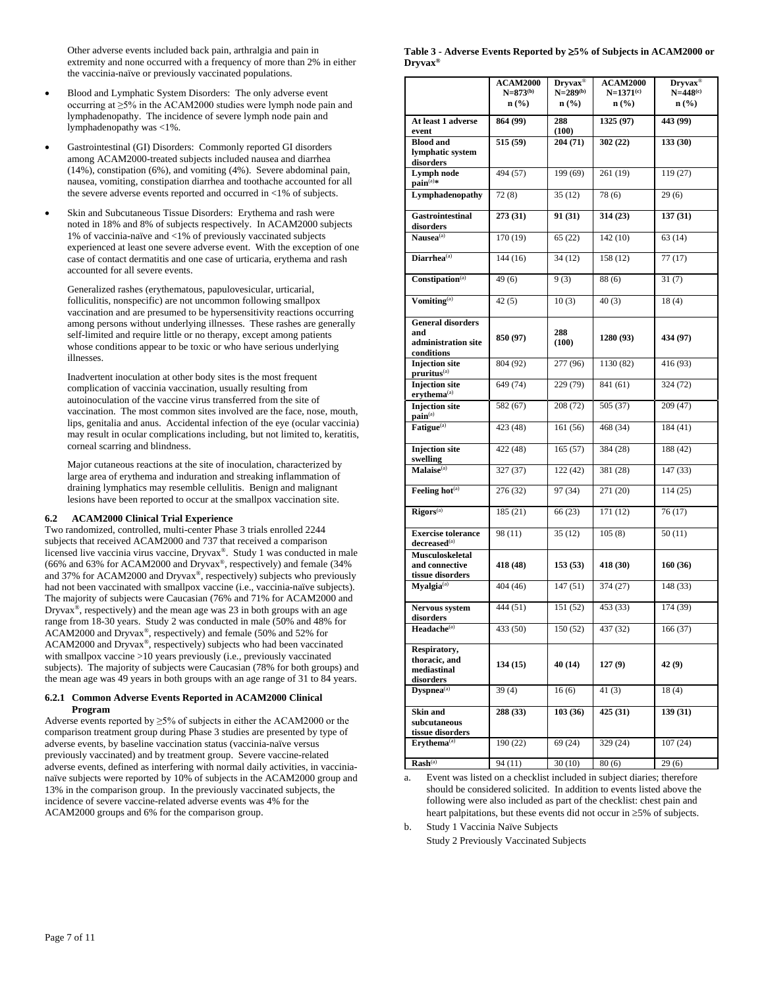Other adverse events included back pain, arthralgia and pain in extremity and none occurred with a frequency of more than 2% in either the vaccinia-naïve or previously vaccinated populations.

- Blood and Lymphatic System Disorders: The only adverse event occurring at ≥5% in the ACAM2000 studies were lymph node pain and lymphadenopathy. The incidence of severe lymph node pain and lymphadenopathy was <1%.
- Gastrointestinal (GI) Disorders: Commonly reported GI disorders among ACAM2000-treated subjects included nausea and diarrhea (14%), constipation (6%), and vomiting (4%). Severe abdominal pain, nausea, vomiting, constipation diarrhea and toothache accounted for all the severe adverse events reported and occurred in <1% of subjects.
- Skin and Subcutaneous Tissue Disorders: Erythema and rash were noted in 18% and 8% of subjects respectively. In ACAM2000 subjects 1% of vaccinia-naïve and <1% of previously vaccinated subjects experienced at least one severe adverse event. With the exception of one case of contact dermatitis and one case of urticaria, erythema and rash accounted for all severe events.

Generalized rashes (erythematous, papulovesicular, urticarial, folliculitis, nonspecific) are not uncommon following smallpox vaccination and are presumed to be hypersensitivity reactions occurring among persons without underlying illnesses. These rashes are generally self-limited and require little or no therapy, except among patients whose conditions appear to be toxic or who have serious underlying illnesses.

Inadvertent inoculation at other body sites is the most frequent complication of vaccinia vaccination, usually resulting from autoinoculation of the vaccine virus transferred from the site of vaccination. The most common sites involved are the face, nose, mouth, lips, genitalia and anus. Accidental infection of the eye (ocular vaccinia) may result in ocular complications including, but not limited to, keratitis, corneal scarring and blindness.

Major cutaneous reactions at the site of inoculation, characterized by large area of erythema and induration and streaking inflammation of draining lymphatics may resemble cellulitis. Benign and malignant lesions have been reported to occur at the smallpox vaccination site.

# **6.2 ACAM2000 Clinical Trial Experience**

Two randomized, controlled, multi-center Phase 3 trials enrolled 2244 subjects that received ACAM2000 and 737 that received a comparison licensed live vaccinia virus vaccine, Dryvax®. Study 1 was conducted in male (66% and 63% for ACAM2000 and Dryvax®, respectively) and female (34% and 37% for ACAM2000 and Dryvax®, respectively) subjects who previously had not been vaccinated with smallpox vaccine (i.e., vaccinia-naïve subjects). The majority of subjects were Caucasian (76% and 71% for ACAM2000 and Dryvax®, respectively) and the mean age was 23 in both groups with an age range from 18-30 years. Study 2 was conducted in male (50% and 48% for ACAM2000 and Dryvax®, respectively) and female (50% and 52% for ACAM2000 and Dryvax®, respectively) subjects who had been vaccinated with smallpox vaccine >10 years previously (i.e., previously vaccinated subjects). The majority of subjects were Caucasian (78% for both groups) and the mean age was 49 years in both groups with an age range of 31 to 84 years.

### **6.2.1 Common Adverse Events Reported in ACAM2000 Clinical Program**

Adverse events reported by ≥5% of subjects in either the ACAM2000 or the comparison treatment group during Phase 3 studies are presented by type of adverse events, by baseline vaccination status (vaccinia-naïve versus previously vaccinated) and by treatment group. Severe vaccine-related adverse events, defined as interfering with normal daily activities, in vaccinianaïve subjects were reported by 10% of subjects in the ACAM2000 group and 13% in the comparison group. In the previously vaccinated subjects, the incidence of severe vaccine-related adverse events was 4% for the ACAM2000 groups and 6% for the comparison group.

### **Table 3 - Adverse Events Reported by** ≥**5% of Subjects in ACAM2000 or Dryvax®**

|                                                                      | <b>ACAM2000</b><br>$N=873^{(b)}$<br>$n$ (%) | $Dryvax^@$<br>$N=289^{(b)}$<br>$n$ (%) | <b>ACAM2000</b><br>$N=1371^{(c)}$<br>$n\left(\frac{0}{0}\right)$ | $Dryvax^@$<br>$N=448^{(c)}$<br>$n$ (%) |
|----------------------------------------------------------------------|---------------------------------------------|----------------------------------------|------------------------------------------------------------------|----------------------------------------|
| At least 1 adverse<br>event                                          | 864 (99)                                    | 288<br>(100)                           | 1325 (97)                                                        | 443 (99)                               |
| <b>Blood</b> and<br>lymphatic system<br>disorders                    | 515 (59)                                    | 204 (71)                               | 302(22)                                                          | 133(30)                                |
| Lymph node<br>$\mathbf{pain}^{(a)*}$                                 | 494 (57)                                    | 199 (69)                               | 261 (19)                                                         | 119 (27)                               |
| Lymphadenopathy                                                      | 72(8)                                       | 35(12)                                 | 78(6)                                                            | 29(6)                                  |
| <b>Gastrointestinal</b><br>disorders                                 | 273 (31)                                    | 91 (31)                                | 314 (23)                                                         | 137(31)                                |
| Nausea <sup>(a)</sup>                                                | 170 (19)                                    | 65(22)                                 | 142(10)                                                          | 63(14)                                 |
| Diarrhea <sup>(a)</sup>                                              | 144 (16)                                    | 34(12)                                 | 158 (12)                                                         | 77(17)                                 |
| Constipation <sup>(a)</sup>                                          | 49(6)                                       | 9(3)                                   | 88(6)                                                            | 31(7)                                  |
| Vomiting <sup>(a)</sup>                                              | 42(5)                                       | 10(3)                                  | 40(3)                                                            | 18(4)                                  |
| <b>General disorders</b><br>and<br>administration site<br>conditions | 850 (97)                                    | 288<br>(100)                           | 1280 (93)                                                        | 434 (97)                               |
| <b>Injection</b> site<br>pruritus <sup>(a)</sup>                     | 804 (92)                                    | 277 (96)                               | 1130 (82)                                                        | 416 (93)                               |
| <b>Injection</b> site<br>erythema <sup>(a)</sup>                     | 649 (74)                                    | 229 (79)                               | 841 (61)                                                         | 324 (72)                               |
| <b>Injection</b> site<br>pain <sup>(a)</sup>                         | 582 (67)                                    | 208 (72)                               | 505 (37)                                                         | 209 (47)                               |
| Fatigue <sup>(a)</sup>                                               | 423 (48)                                    | 161(56)                                | 468 (34)                                                         | 184(41)                                |
| <b>Injection</b> site<br>swelling                                    | 422 (48)                                    | 165(57)                                | 384 (28)                                                         | 188 (42)                               |
| Malaise <sup>(a)</sup>                                               | 327 (37)                                    | 122(42)                                | 381 (28)                                                         | 147(33)                                |
| Feeling hot <sup>(a)</sup>                                           | 276 (32)                                    | 97 (34)                                | 271 (20)                                                         | 114(25)                                |
| Rigors <sup>(a)</sup>                                                | 185 (21)                                    | 66 (23)                                | 171 (12)                                                         | 76(17)                                 |
| <b>Exercise tolerance</b><br>decreased <sup>(a)</sup>                | 98 (11)                                     | 35 (12)                                | 105(8)                                                           | 50(11)                                 |
| Musculoskeletal<br>and connective<br>tissue disorders                | 418 (48)                                    | 153(53)                                | 418 (30)                                                         | 160 (36)                               |
| Myalgia <sup>(a)</sup>                                               | 404 (46)                                    | 147(51)                                | 374 (27)                                                         | 148 (33)                               |
| Nervous system<br>disorders                                          | 444 (51)                                    | 151 (52)                               | 453 (33)                                                         | 174 (39)                               |
| Headache <sup>(a)</sup>                                              | 433 (50)                                    | 150 (52)                               | 437 (32)                                                         | 166 (37)                               |
| Respiratory,<br>thoracic, and<br>mediastinal<br>disorders            | 134(15)                                     | 40 (14)                                | 127(9)                                                           | 42 (9)                                 |
| Dyspnea <sup>(a)</sup>                                               | 39(4)                                       | 16(6)                                  | 41(3)                                                            | 18(4)                                  |
| Skin and<br>subcutaneous<br>tissue disorders                         | 288 (33)                                    | 103 (36)                               | 425 (31)                                                         | 139(31)                                |
| Erythema <sup>(a)</sup>                                              | 190 (22)                                    | 69 (24)                                | 329 (24)                                                         | 107(24)                                |
| $Rash(a)$                                                            | 94 (11)                                     | 30(10)                                 | 80(6)                                                            | 29(6)                                  |

a. Event was listed on a checklist included in subject diaries; therefore should be considered solicited. In addition to events listed above the following were also included as part of the checklist: chest pain and heart palpitations, but these events did not occur in ≥5% of subjects.

b. Study 1 Vaccinia Naïve Subjects Study 2 Previously Vaccinated Subjects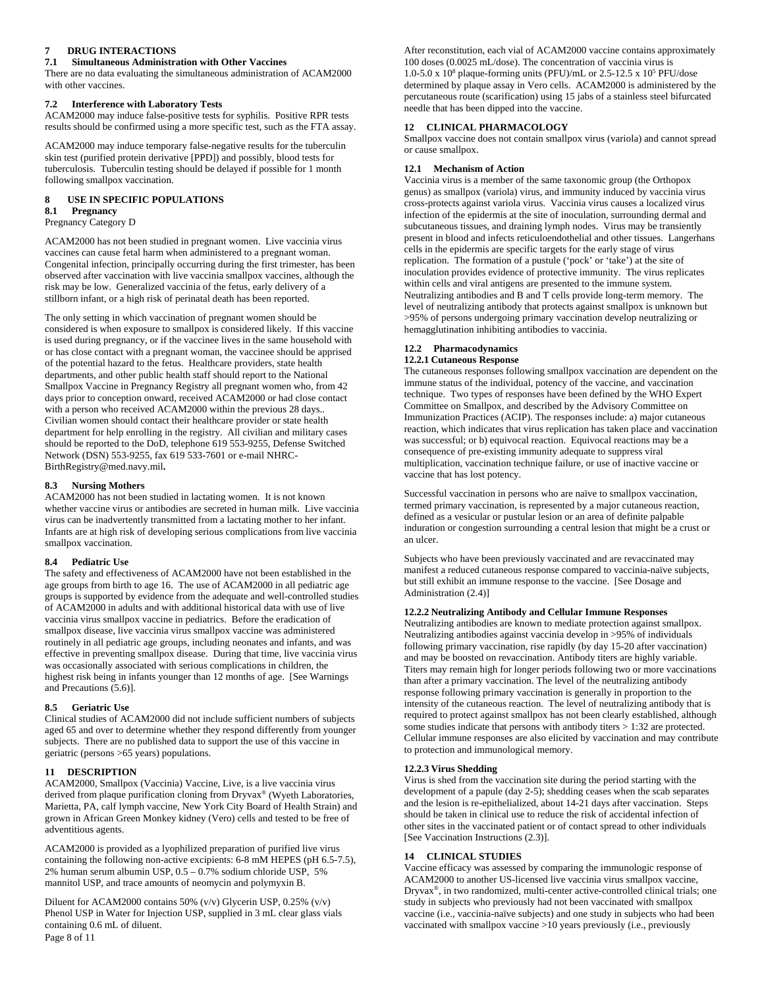# **7 DRUG INTERACTIONS**

#### **7.1 Simultaneous Administration with Other Vaccines**

There are no data evaluating the simultaneous administration of ACAM2000 with other vaccines.

#### **7.2 Interference with Laboratory Tests**

ACAM2000 may induce false-positive tests for syphilis. Positive RPR tests results should be confirmed using a more specific test, such as the FTA assay.

ACAM2000 may induce temporary false-negative results for the tuberculin skin test (purified protein derivative [PPD]) and possibly, blood tests for tuberculosis. Tuberculin testing should be delayed if possible for 1 month following smallpox vaccination.

# **8 USE IN SPECIFIC POPULATIONS 8.1 Pregnancy**

### Pregnancy Category D

ACAM2000 has not been studied in pregnant women. Live vaccinia virus vaccines can cause fetal harm when administered to a pregnant woman. Congenital infection, principally occurring during the first trimester, has been observed after vaccination with live vaccinia smallpox vaccines, although the risk may be low. Generalized vaccinia of the fetus, early delivery of a stillborn infant, or a high risk of perinatal death has been reported.

The only setting in which vaccination of pregnant women should be considered is when exposure to smallpox is considered likely. If this vaccine is used during pregnancy, or if the vaccinee lives in the same household with or has close contact with a pregnant woman, the vaccinee should be apprised of the potential hazard to the fetus. Healthcare providers, state health departments, and other public health staff should report to the National Smallpox Vaccine in Pregnancy Registry all pregnant women who, from 42 days prior to conception onward, received ACAM2000 or had close contact with a person who received ACAM2000 within the previous 28 days.. Civilian women should contact their healthcare provider or state health department for help enrolling in the registry. All civilian and military cases should be reported to the DoD, telephone 619 553-9255, Defense Switched Network (DSN) 553-9255, fax 619 533-7601 or e-mail NHRC-BirthRegistry@med.navy.mil**.**

### **8.3 Nursing Mothers**

ACAM2000 has not been studied in lactating women. It is not known whether vaccine virus or antibodies are secreted in human milk. Live vaccinia virus can be inadvertently transmitted from a lactating mother to her infant. Infants are at high risk of developing serious complications from live vaccinia smallpox vaccination.

#### **8.4 Pediatric Use**

The safety and effectiveness of ACAM2000 have not been established in the age groups from birth to age 16. The use of ACAM2000 in all pediatric age groups is supported by evidence from the adequate and well-controlled studies of ACAM2000 in adults and with additional historical data with use of live vaccinia virus smallpox vaccine in pediatrics. Before the eradication of smallpox disease, live vaccinia virus smallpox vaccine was administered routinely in all pediatric age groups, including neonates and infants, and was effective in preventing smallpox disease. During that time, live vaccinia virus was occasionally associated with serious complications in children, the highest risk being in infants younger than 12 months of age. [See Warnings and Precautions (5.6)].

#### **8.5 Geriatric Use**

Clinical studies of ACAM2000 did not include sufficient numbers of subjects aged 65 and over to determine whether they respond differently from younger subjects. There are no published data to support the use of this vaccine in geriatric (persons >65 years) populations.

### **11 DESCRIPTION**

ACAM2000, Smallpox (Vaccinia) Vaccine, Live, is a live vaccinia virus derived from plaque purification cloning from Dryvax® (Wyeth Laboratories, Marietta, PA, calf lymph vaccine, New York City Board of Health Strain) and grown in African Green Monkey kidney (Vero) cells and tested to be free of adventitious agents.

ACAM2000 is provided as a lyophilized preparation of purified live virus containing the following non-active excipients: 6-8 mM HEPES (pH 6.5-7.5), 2% human serum albumin USP, 0.5 – 0.7% sodium chloride USP, 5% mannitol USP, and trace amounts of neomycin and polymyxin B.

Diluent for ACAM2000 contains 50% (v/v) Glycerin USP, 0.25% (v/v) Phenol USP in Water for Injection USP, supplied in 3 mL clear glass vials containing 0.6 mL of diluent.

After reconstitution, each vial of ACAM2000 vaccine contains approximately 100 doses (0.0025 mL/dose). The concentration of vaccinia virus is 1.0-5.0 x  $10^8$  plaque-forming units (PFU)/mL or 2.5-12.5 x  $10^5$  PFU/dose determined by plaque assay in Vero cells. ACAM2000 is administered by the percutaneous route (scarification) using 15 jabs of a stainless steel bifurcated needle that has been dipped into the vaccine.

#### **12 CLINICAL PHARMACOLOGY**

Smallpox vaccine does not contain smallpox virus (variola) and cannot spread or cause smallpox.

#### **12.1 Mechanism of Action**

Vaccinia virus is a member of the same taxonomic group (the Orthopox genus) as smallpox (variola) virus, and immunity induced by vaccinia virus cross-protects against variola virus. Vaccinia virus causes a localized virus infection of the epidermis at the site of inoculation, surrounding dermal and subcutaneous tissues, and draining lymph nodes. Virus may be transiently present in blood and infects reticuloendothelial and other tissues. Langerhans cells in the epidermis are specific targets for the early stage of virus replication. The formation of a pustule ('pock' or 'take') at the site of inoculation provides evidence of protective immunity. The virus replicates within cells and viral antigens are presented to the immune system. Neutralizing antibodies and B and T cells provide long-term memory. The level of neutralizing antibody that protects against smallpox is unknown but >95% of persons undergoing primary vaccination develop neutralizing or hemagglutination inhibiting antibodies to vaccinia.

#### **12.2 Pharmacodynamics**

#### **12.2.1 Cutaneous Response**

The cutaneous responses following smallpox vaccination are dependent on the immune status of the individual, potency of the vaccine, and vaccination technique. Two types of responses have been defined by the WHO Expert Committee on Smallpox, and described by the Advisory Committee on Immunization Practices (ACIP). The responses include: a) major cutaneous reaction, which indicates that virus replication has taken place and vaccination was successful; or b) equivocal reaction. Equivocal reactions may be a consequence of pre-existing immunity adequate to suppress viral multiplication, vaccination technique failure, or use of inactive vaccine or vaccine that has lost potency.

Successful vaccination in persons who are naïve to smallpox vaccination, termed primary vaccination, is represented by a major cutaneous reaction, defined as a vesicular or pustular lesion or an area of definite palpable induration or congestion surrounding a central lesion that might be a crust or an ulcer.

Subjects who have been previously vaccinated and are revaccinated may manifest a reduced cutaneous response compared to vaccinia-naïve subjects, but still exhibit an immune response to the vaccine. [See Dosage and Administration (2.4)]

### **12.2.2 Neutralizing Antibody and Cellular Immune Responses**

Neutralizing antibodies are known to mediate protection against smallpox. Neutralizing antibodies against vaccinia develop in >95% of individuals following primary vaccination, rise rapidly (by day 15-20 after vaccination) and may be boosted on revaccination. Antibody titers are highly variable. Titers may remain high for longer periods following two or more vaccinations than after a primary vaccination. The level of the neutralizing antibody response following primary vaccination is generally in proportion to the intensity of the cutaneous reaction. The level of neutralizing antibody that is required to protect against smallpox has not been clearly established, although some studies indicate that persons with antibody titers > 1:32 are protected. Cellular immune responses are also elicited by vaccination and may contribute to protection and immunological memory.

### **12.2.3 Virus Shedding**

Virus is shed from the vaccination site during the period starting with the development of a papule (day 2-5); shedding ceases when the scab separates and the lesion is re-epithelialized, about 14-21 days after vaccination. Steps should be taken in clinical use to reduce the risk of accidental infection of other sites in the vaccinated patient or of contact spread to other individuals [See Vaccination Instructions (2.3)].

# **14 CLINICAL STUDIES**

Vaccine efficacy was assessed by comparing the immunologic response of ACAM2000 to another US-licensed live vaccinia virus smallpox vaccine, Dryvax®, in two randomized, multi-center active-controlled clinical trials; one study in subjects who previously had not been vaccinated with smallpox vaccine (i.e., vaccinia-naïve subjects) and one study in subjects who had been vaccinated with smallpox vaccine >10 years previously (i.e., previously

Page 8 of 11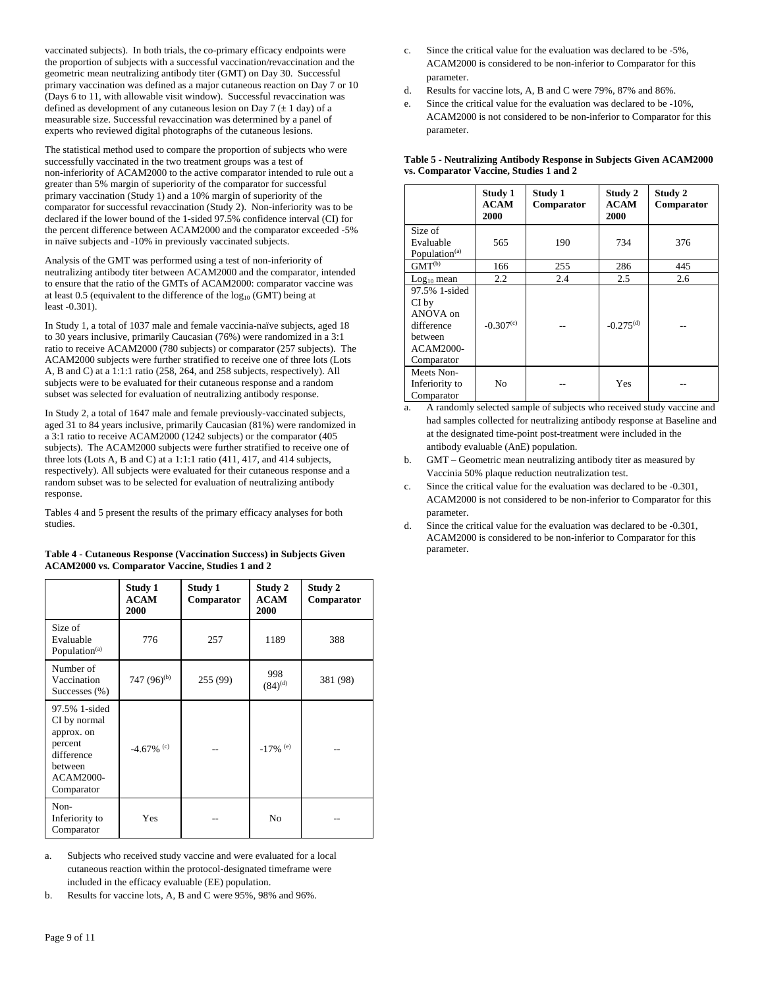vaccinated subjects). In both trials, the co-primary efficacy endpoints were the proportion of subjects with a successful vaccination/revaccination and the geometric mean neutralizing antibody titer (GMT) on Day 30. Successful primary vaccination was defined as a major cutaneous reaction on Day 7 or 10 (Days 6 to 11, with allowable visit window). Successful revaccination was defined as development of any cutaneous lesion on Day  $7 (\pm 1$  day) of a measurable size. Successful revaccination was determined by a panel of experts who reviewed digital photographs of the cutaneous lesions.

The statistical method used to compare the proportion of subjects who were successfully vaccinated in the two treatment groups was a test of non-inferiority of ACAM2000 to the active comparator intended to rule out a greater than 5% margin of superiority of the comparator for successful primary vaccination (Study 1) and a 10% margin of superiority of the comparator for successful revaccination (Study 2). Non-inferiority was to be declared if the lower bound of the 1-sided 97.5% confidence interval (CI) for the percent difference between ACAM2000 and the comparator exceeded -5% in naïve subjects and -10% in previously vaccinated subjects.

Analysis of the GMT was performed using a test of non-inferiority of neutralizing antibody titer between ACAM2000 and the comparator, intended to ensure that the ratio of the GMTs of ACAM2000: comparator vaccine was at least  $0.5$  (equivalent to the difference of the  $log_{10}$  (GMT) being at least -0.301).

In Study 1, a total of 1037 male and female vaccinia-naïve subjects, aged 18 to 30 years inclusive, primarily Caucasian (76%) were randomized in a 3:1 ratio to receive ACAM2000 (780 subjects) or comparator (257 subjects). The ACAM2000 subjects were further stratified to receive one of three lots (Lots A, B and C) at a 1:1:1 ratio (258, 264, and 258 subjects, respectively). All subjects were to be evaluated for their cutaneous response and a random subset was selected for evaluation of neutralizing antibody response.

In Study 2, a total of 1647 male and female previously-vaccinated subjects, aged 31 to 84 years inclusive, primarily Caucasian (81%) were randomized in a 3:1 ratio to receive ACAM2000 (1242 subjects) or the comparator (405 subjects). The ACAM2000 subjects were further stratified to receive one of three lots (Lots A, B and C) at a 1:1:1 ratio (411, 417, and 414 subjects, respectively). All subjects were evaluated for their cutaneous response and a random subset was to be selected for evaluation of neutralizing antibody response.

Tables 4 and 5 present the results of the primary efficacy analyses for both studies.

| Table 4 - Cutaneous Response (Vaccination Success) in Subjects Given |
|----------------------------------------------------------------------|
| <b>ACAM2000 vs. Comparator Vaccine, Studies 1 and 2</b>              |

|                                                                                                                   | Study 1<br><b>ACAM</b><br>2000 | Study 1<br>Comparator | Study 2<br>ACAM<br>2000 | Study 2<br>Comparator |
|-------------------------------------------------------------------------------------------------------------------|--------------------------------|-----------------------|-------------------------|-----------------------|
| Size of<br>Evaluable<br>Population <sup>(a)</sup>                                                                 | 776                            | 257                   | 1189                    | 388                   |
| Number of<br>Vaccination<br>Successes $(\% )$                                                                     | 747 (96) <sup>(b)</sup>        | 255 (99)              | 998<br>$(84)^{(d)}$     | 381 (98)              |
| 97.5% 1-sided<br>CI by normal<br>approx. on<br>percent<br>difference<br>between<br><b>ACAM2000-</b><br>Comparator | $-4.67\%$ <sup>(c)</sup>       |                       | $-17\%$ <sup>(e)</sup>  |                       |
| Non-<br>Inferiority to<br>Comparator                                                                              | Yes                            |                       | No                      |                       |

a. Subjects who received study vaccine and were evaluated for a local cutaneous reaction within the protocol-designated timeframe were included in the efficacy evaluable (EE) population.

b. Results for vaccine lots, A, B and C were 95%, 98% and 96%.

- c. Since the critical value for the evaluation was declared to be -5%, ACAM2000 is considered to be non-inferior to Comparator for this parameter.
- d. Results for vaccine lots, A, B and C were 79%, 87% and 86%.
- e. Since the critical value for the evaluation was declared to be -10%, ACAM2000 is not considered to be non-inferior to Comparator for this parameter.

|                                                                                               | Study 1<br>ACAM<br>2000 | Study 1<br>Comparator | Study 2<br>ACAM<br>2000 | Study 2<br>Comparator |
|-----------------------------------------------------------------------------------------------|-------------------------|-----------------------|-------------------------|-----------------------|
| Size of<br>Evaluable<br>Population <sup>(a)</sup>                                             | 565                     | 190                   | 734                     | 376                   |
| $GMT^{(b)}$                                                                                   | 166                     | 255                   | 286                     | 445                   |
| $Log10$ mean                                                                                  | 2.2                     | 2.4                   | 2.5                     | 2.6                   |
| 97.5% 1-sided<br>CI by<br>ANOVA on<br>difference<br>between<br><b>ACAM2000-</b><br>Comparator | $-0.307^{(c)}$          |                       | $-0.275^{(d)}$          |                       |
| Meets Non-<br>Inferiority to<br>Comparator                                                    | No                      |                       | Yes                     |                       |

**Table 5 - Neutralizing Antibody Response in Subjects Given ACAM2000 vs. Comparator Vaccine, Studies 1 and 2**

a. A randomly selected sample of subjects who received study vaccine and had samples collected for neutralizing antibody response at Baseline and at the designated time-point post-treatment were included in the antibody evaluable (AnE) population.

- b. GMT Geometric mean neutralizing antibody titer as measured by Vaccinia 50% plaque reduction neutralization test.
- c. Since the critical value for the evaluation was declared to be -0.301, ACAM2000 is not considered to be non-inferior to Comparator for this parameter.
- d. Since the critical value for the evaluation was declared to be -0.301, ACAM2000 is considered to be non-inferior to Comparator for this parameter.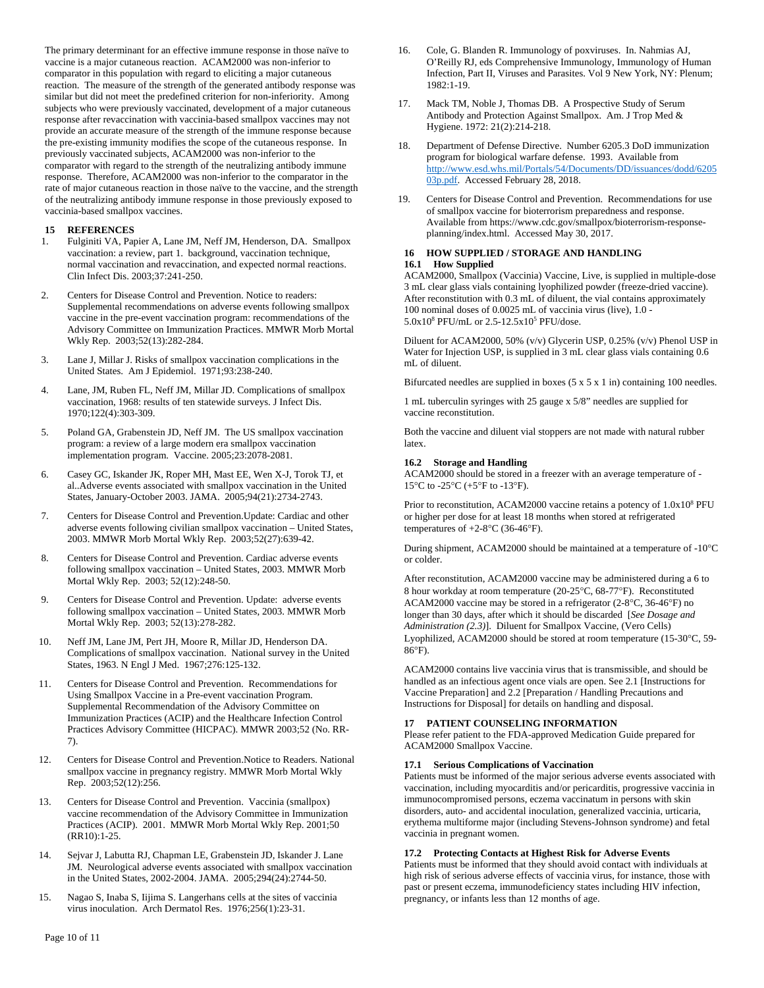The primary determinant for an effective immune response in those naïve to vaccine is a major cutaneous reaction. ACAM2000 was non-inferior to comparator in this population with regard to eliciting a major cutaneous reaction. The measure of the strength of the generated antibody response was similar but did not meet the predefined criterion for non-inferiority. Among subjects who were previously vaccinated, development of a major cutaneous response after revaccination with vaccinia-based smallpox vaccines may not provide an accurate measure of the strength of the immune response because the pre-existing immunity modifies the scope of the cutaneous response. In previously vaccinated subjects, ACAM2000 was non-inferior to the comparator with regard to the strength of the neutralizing antibody immune response. Therefore, ACAM2000 was non-inferior to the comparator in the rate of major cutaneous reaction in those naïve to the vaccine, and the strength of the neutralizing antibody immune response in those previously exposed to vaccinia-based smallpox vaccines.

### **15 REFERENCES**

- 1. Fulginiti VA, Papier A, Lane JM, Neff JM, Henderson, DA. Smallpox vaccination: a review, part 1. background, vaccination technique, normal vaccination and revaccination, and expected normal reactions. Clin Infect Dis. 2003;37:241-250.
- 2. Centers for Disease Control and Prevention. Notice to readers: Supplemental recommendations on adverse events following smallpox vaccine in the pre-event vaccination program: recommendations of the Advisory Committee on Immunization Practices. MMWR Morb Mortal Wkly Rep. 2003;52(13):282-284.
- 3. Lane J, Millar J. Risks of smallpox vaccination complications in the United States. Am J Epidemiol. 1971;93:238-240.
- 4. Lane, JM, Ruben FL, Neff JM, Millar JD. Complications of smallpox vaccination, 1968: results of ten statewide surveys. J Infect Dis. 1970;122(4):303-309.
- 5. Poland GA, Grabenstein JD, Neff JM. The US smallpox vaccination program: a review of a large modern era smallpox vaccination implementation program. Vaccine. 2005;23:2078-2081.
- 6. Casey GC, Iskander JK, Roper MH, Mast EE, Wen X-J, Torok TJ, et al..Adverse events associated with smallpox vaccination in the United States, January-October 2003. JAMA. 2005;94(21):2734-2743.
- 7. Centers for Disease Control and Prevention.Update: Cardiac and other adverse events following civilian smallpox vaccination – United States, 2003. MMWR Morb Mortal Wkly Rep. 2003;52(27):639-42.
- 8. Centers for Disease Control and Prevention. Cardiac adverse events following smallpox vaccination – United States, 2003. MMWR Morb Mortal Wkly Rep. 2003; 52(12):248-50.
- 9. Centers for Disease Control and Prevention. Update: adverse events following smallpox vaccination – United States, 2003. MMWR Morb Mortal Wkly Rep. 2003; 52(13):278-282.
- 10. Neff JM, Lane JM, Pert JH, Moore R, Millar JD, Henderson DA. Complications of smallpox vaccination. National survey in the United States, 1963. N Engl J Med. 1967;276:125-132.
- 11. Centers for Disease Control and Prevention. Recommendations for Using Smallpox Vaccine in a Pre-event vaccination Program. Supplemental Recommendation of the Advisory Committee on Immunization Practices (ACIP) and the Healthcare Infection Control Practices Advisory Committee (HICPAC). MMWR 2003;52 (No. RR-7).
- 12. Centers for Disease Control and Prevention.Notice to Readers. National smallpox vaccine in pregnancy registry. MMWR Morb Mortal Wkly Rep. 2003;52(12):256.
- 13. Centers for Disease Control and Prevention. Vaccinia (smallpox) vaccine recommendation of the Advisory Committee in Immunization Practices (ACIP). 2001. MMWR Morb Mortal Wkly Rep. 2001;50 (RR10):1-25.
- 14. Sejvar J, Labutta RJ, Chapman LE, Grabenstein JD, Iskander J. Lane JM. Neurological adverse events associated with smallpox vaccination in the United States, 2002-2004. JAMA. 2005;294(24):2744-50.
- 15. Nagao S, Inaba S, Iijima S. Langerhans cells at the sites of vaccinia virus inoculation. Arch Dermatol Res. 1976;256(1):23-31.
- 16. Cole, G. Blanden R. Immunology of poxviruses. In. Nahmias AJ, O'Reilly RJ, eds Comprehensive Immunology, Immunology of Human Infection, Part II, Viruses and Parasites. Vol 9 New York, NY: Plenum; 1982:1-19.
- 17. Mack TM, Noble J, Thomas DB. A Prospective Study of Serum Antibody and Protection Against Smallpox. Am. J Trop Med & Hygiene. 1972: 21(2):214-218.
- 18. Department of Defense Directive. Number 6205.3 DoD immunization program for biological warfare defense. 1993. Available from [http://www.esd.whs.mil/Portals/54/Documents/DD/issuances/dodd/6205](http://www.esd.whs.mil/Portals/54/Documents/DD/issuances/dodd/620503p.pdf) [03p.pdf.](http://www.esd.whs.mil/Portals/54/Documents/DD/issuances/dodd/620503p.pdf) Accessed February 28, 2018.
- 19. Centers for Disease Control and Prevention. Recommendations for use of smallpox vaccine for bioterrorism preparedness and response. Available from https://www.cdc.gov/smallpox/bioterrorism-responseplanning/index.html. Accessed May 30, 2017.

### **16 HOW SUPPLIED / STORAGE AND HANDLING 16.1 How Supplied**

ACAM2000, Smallpox (Vaccinia) Vaccine, Live, is supplied in multiple-dose 3 mL clear glass vials containing lyophilized powder (freeze-dried vaccine). After reconstitution with 0.3 mL of diluent, the vial contains approximately 100 nominal doses of 0.0025 mL of vaccinia virus (live), 1.0 -  $5.0x10^8$  PFU/mL or  $2.5-12.5x10^5$  PFU/dose.

Diluent for ACAM2000, 50% (v/v) Glycerin USP, 0.25% (v/v) Phenol USP in Water for Injection USP, is supplied in 3 mL clear glass vials containing 0.6 mL of diluent.

Bifurcated needles are supplied in boxes  $(5 \times 5 \times 1)$  in containing 100 needles.

1 mL tuberculin syringes with 25 gauge x 5/8" needles are supplied for vaccine reconstitution.

Both the vaccine and diluent vial stoppers are not made with natural rubber latex.

### **16.2 Storage and Handling**

ACAM2000 should be stored in a freezer with an average temperature of - 15°C to -25°C (+5°F to -13°F).

Prior to reconstitution, ACAM2000 vaccine retains a potency of  $1.0x10<sup>8</sup>$  PFU or higher per dose for at least 18 months when stored at refrigerated temperatures of +2-8°C (36-46°F).

During shipment, ACAM2000 should be maintained at a temperature of -10°C or colder.

After reconstitution, ACAM2000 vaccine may be administered during a 6 to 8 hour workday at room temperature (20-25°C, 68-77°F). Reconstituted ACAM2000 vaccine may be stored in a refrigerator (2-8°C, 36-46°F) no longer than 30 days, after which it should be discarded [*See Dosage and Administration (2.3)*]. Diluent for Smallpox Vaccine, (Vero Cells) Lyophilized, ACAM2000 should be stored at room temperature (15-30°C, 59- 86°F).

ACAM2000 contains live vaccinia virus that is transmissible, and should be handled as an infectious agent once vials are open. See 2.1 [Instructions for Vaccine Preparation] and 2.2 [Preparation / Handling Precautions and Instructions for Disposal] for details on handling and disposal.

### **17 PATIENT COUNSELING INFORMATION**

Please refer patient to the FDA-approved Medication Guide prepared for ACAM2000 Smallpox Vaccine.

### **17.1 Serious Complications of Vaccination**

Patients must be informed of the major serious adverse events associated with vaccination, including myocarditis and/or pericarditis, progressive vaccinia in immunocompromised persons, eczema vaccinatum in persons with skin disorders, auto- and accidental inoculation, generalized vaccinia, urticaria, erythema multiforme major (including Stevens-Johnson syndrome) and fetal vaccinia in pregnant women.

### **17.2 Protecting Contacts at Highest Risk for Adverse Events**

Patients must be informed that they should avoid contact with individuals at high risk of serious adverse effects of vaccinia virus, for instance, those with past or present eczema, immunodeficiency states including HIV infection, pregnancy, or infants less than 12 months of age.